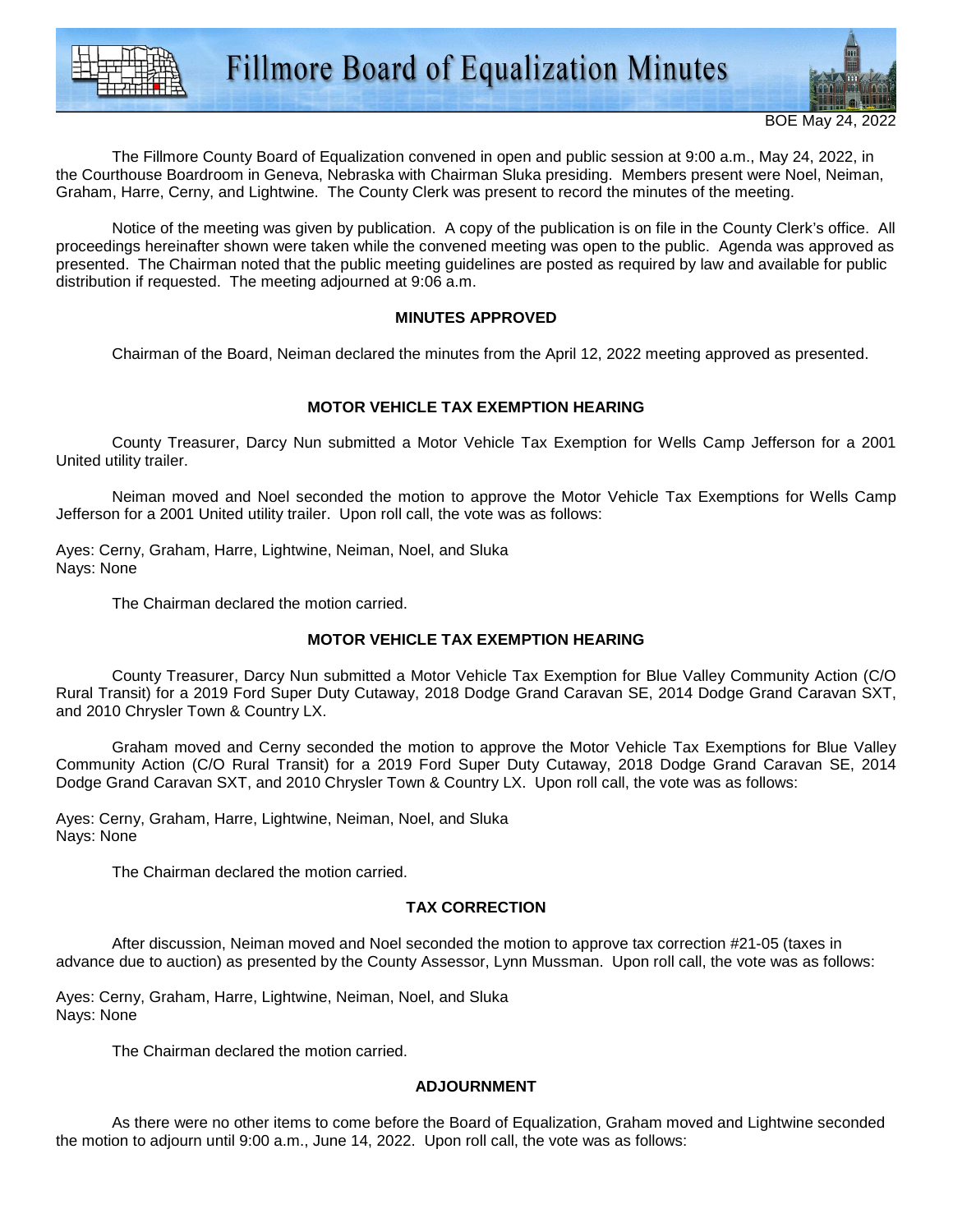

The Fillmore County Board of Equalization convened in open and public session at 9:00 a.m., May 24, 2022, in the Courthouse Boardroom in Geneva, Nebraska with Chairman Sluka presiding. Members present were Noel, Neiman, Graham, Harre, Cerny, and Lightwine. The County Clerk was present to record the minutes of the meeting.

 Notice of the meeting was given by publication. A copy of the publication is on file in the County Clerk's office. All proceedings hereinafter shown were taken while the convened meeting was open to the public. Agenda was approved as presented. The Chairman noted that the public meeting guidelines are posted as required by law and available for public distribution if requested. The meeting adjourned at 9:06 a.m.

## **MINUTES APPROVED**

Chairman of the Board, Neiman declared the minutes from the April 12, 2022 meeting approved as presented.

# **MOTOR VEHICLE TAX EXEMPTION HEARING**

 County Treasurer, Darcy Nun submitted a Motor Vehicle Tax Exemption for Wells Camp Jefferson for a 2001 United utility trailer.

 Neiman moved and Noel seconded the motion to approve the Motor Vehicle Tax Exemptions for Wells Camp Jefferson for a 2001 United utility trailer. Upon roll call, the vote was as follows:

Ayes: Cerny, Graham, Harre, Lightwine, Neiman, Noel, and Sluka Nays: None

The Chairman declared the motion carried.

### **MOTOR VEHICLE TAX EXEMPTION HEARING**

 County Treasurer, Darcy Nun submitted a Motor Vehicle Tax Exemption for Blue Valley Community Action (C/O Rural Transit) for a 2019 Ford Super Duty Cutaway, 2018 Dodge Grand Caravan SE, 2014 Dodge Grand Caravan SXT, and 2010 Chrysler Town & Country LX.

 Graham moved and Cerny seconded the motion to approve the Motor Vehicle Tax Exemptions for Blue Valley Community Action (C/O Rural Transit) for a 2019 Ford Super Duty Cutaway, 2018 Dodge Grand Caravan SE, 2014 Dodge Grand Caravan SXT, and 2010 Chrysler Town & Country LX. Upon roll call, the vote was as follows:

Ayes: Cerny, Graham, Harre, Lightwine, Neiman, Noel, and Sluka Nays: None

The Chairman declared the motion carried.

### **TAX CORRECTION**

 After discussion, Neiman moved and Noel seconded the motion to approve tax correction #21-05 (taxes in advance due to auction) as presented by the County Assessor, Lynn Mussman. Upon roll call, the vote was as follows:

Ayes: Cerny, Graham, Harre, Lightwine, Neiman, Noel, and Sluka Nays: None

The Chairman declared the motion carried.

# **ADJOURNMENT**

 As there were no other items to come before the Board of Equalization, Graham moved and Lightwine seconded the motion to adjourn until 9:00 a.m., June 14, 2022. Upon roll call, the vote was as follows: